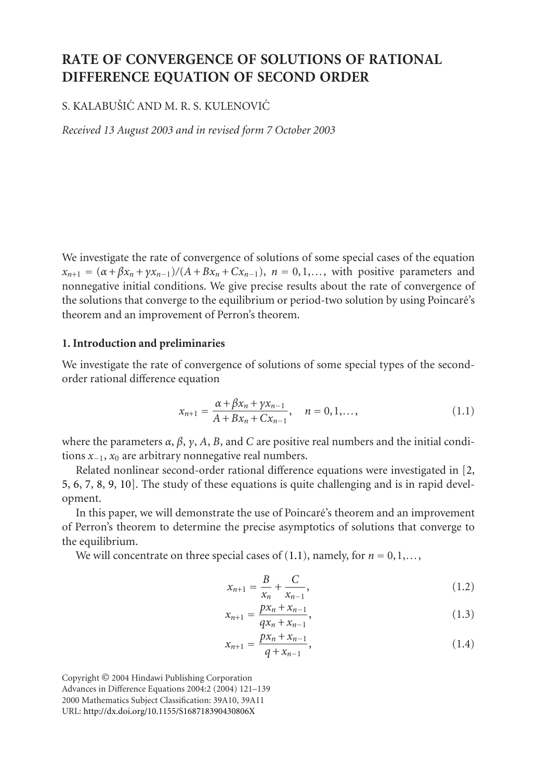# **RATE OF CONVERGENCE OF SOLUTIONS OF RATIONAL DIFFERENCE EQUATION OF SECOND ORDER**

# S. KALABUŠIĆ AND M. R. S. KULENOVIĆ

*Received 13 August 2003 and in revised form 7 October 2003*

We investigate the rate of convergence of solutions of some special cases of the equation  $x_{n+1} = (\alpha + \beta x_n + \gamma x_{n-1})/(A + Bx_n + Cx_{n-1}), \; n = 0, 1, \ldots$ , with positive parameters and nonnegative initial conditions. We give precise results about the rate of convergence of the solutions that converge to the equilibrium or period-two solution by using Poincare's ´ theorem and an improvement of Perron's theorem.

### **1. Introduction and preliminaries**

We investigate the rate of convergence of solutions of some special types of the secondorder rational difference equation

<span id="page-0-0"></span>
$$
x_{n+1} = \frac{\alpha + \beta x_n + \gamma x_{n-1}}{A + Bx_n + Cx_{n-1}}, \quad n = 0, 1, \dots,
$$
 (1.1)

where the parameters  $\alpha$ ,  $\beta$ ,  $\gamma$ ,  $A$ ,  $B$ , and  $C$  are positive real numbers and the initial conditions *<sup>x</sup>*−1, *<sup>x</sup>*<sup>0</sup> are arbitrary nonnegative real numbers.

Related nonlinear second-order rational difference equations were investigated in [\[2,](#page-17-0) [5,](#page-17-1) [6,](#page-18-0) [7,](#page-18-1) [8,](#page-18-2) [9,](#page-18-3) [10\]](#page-18-4). The study of these equations is quite challenging and is in rapid development.

In this paper, we will demonstrate the use of Poincare's theorem and an improvement ´ of Perron's theorem to determine the precise asymptotics of solutions that converge to the equilibrium.

We will concentrate on three special cases of  $(1.1)$ , namely, for  $n = 0, 1, \ldots$ ,

<span id="page-0-2"></span><span id="page-0-1"></span>
$$
x_{n+1} = \frac{B}{x_n} + \frac{C}{x_{n-1}},
$$
\n(1.2)

$$
x_{n+1} = \frac{px_n + x_{n-1}}{qx_n + x_{n-1}},
$$
\n(1.3)

<span id="page-0-3"></span>
$$
x_{n+1} = \frac{px_n + x_{n-1}}{q + x_{n-1}},
$$
\n(1.4)

Copyright © 2004 Hindawi Publishing Corporation Advances in Difference Equations 2004:2 (2004) 121–139 2000 Mathematics Subject Classification: 39A10, 39A11 URL: <http://dx.doi.org/10.1155/S168718390430806X>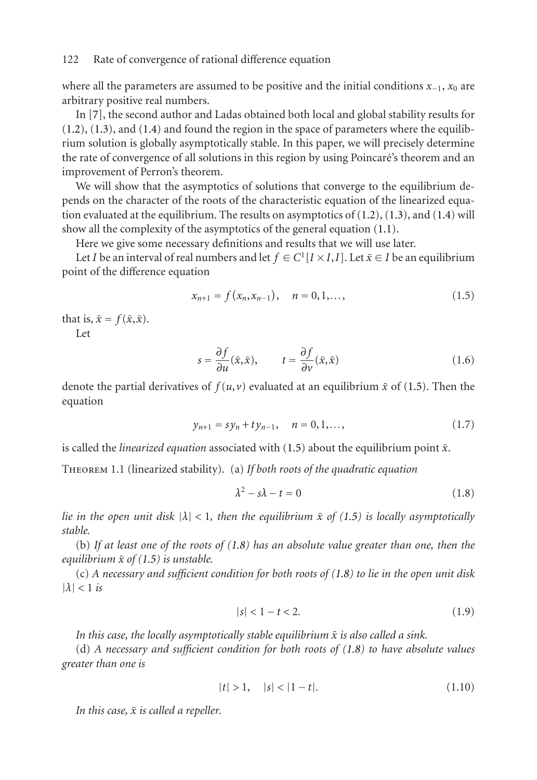where all the parameters are assumed to be positive and the initial conditions *<sup>x</sup>*−1, *<sup>x</sup>*<sup>0</sup> are arbitrary positive real numbers.

In [\[7\]](#page-18-1), the second author and Ladas obtained both local and global stability results for  $(1.2)$ ,  $(1.3)$ , and  $(1.4)$  and found the region in the space of parameters where the equilibrium solution is globally asymptotically stable. In this paper, we will precisely determine the rate of convergence of all solutions in this region by using Poincare's theorem and an ´ improvement of Perron's theorem.

We will show that the asymptotics of solutions that converge to the equilibrium depends on the character of the roots of the characteristic equation of the linearized equation evaluated at the equilibrium. The results on asymptotics of  $(1.2)$ ,  $(1.3)$ , and  $(1.4)$  will show all the complexity of the asymptotics of the general equation [\(1.1\)](#page-0-0).

Here we give some necessary definitions and results that we will use later.

Let *I* be an interval of real numbers and let  $f \in C^1[I \times I, I]$ . Let  $\bar{x} \in I$  be an equilibrium point of the difference equation

<span id="page-1-0"></span>
$$
x_{n+1} = f(x_n, x_{n-1}), \quad n = 0, 1, \dots,
$$
\n(1.5)

that is,  $\bar{x} = f(\bar{x}, \bar{x})$ .

Let

$$
s = \frac{\partial f}{\partial u}(\bar{x}, \bar{x}), \qquad t = \frac{\partial f}{\partial v}(\bar{x}, \bar{x}) \tag{1.6}
$$

denote the partial derivatives of  $f(u, v)$  evaluated at an equilibrium  $\bar{x}$  of [\(1.5\)](#page-1-0). Then the equation

$$
y_{n+1} = sy_n + ty_{n-1}, \quad n = 0, 1, \dots,
$$
\n(1.7)

is called the *linearized equation* associated with  $(1.5)$  about the equilibrium point  $\bar{x}$ .

Theorem 1.1 (linearized stability). (a) *If both roots of the quadratic equation*

<span id="page-1-1"></span>
$$
\lambda^2 - s\lambda - t = 0 \tag{1.8}
$$

*lie in the open unit disk*  $|\lambda| < 1$ *, then the equilibrium*  $\bar{x}$  *of [\(1.5\)](#page-1-0) is locally asymptotically stable.*

(b) *If at least one of the roots of [\(1.8\)](#page-1-1) has an absolute value greater than one, then the equilibrium*  $\bar{x}$  *of* [\(1.5\)](#page-1-0) *is unstable.* 

(c) *A necessary and sufficient condition for both roots of [\(1.8\)](#page-1-1) to lie in the open unit disk*  $|\lambda|$  < 1 *is* 

$$
|s| < 1 - t < 2. \tag{1.9}
$$

In this case, the locally asymptotically stable equilibrium  $\bar{x}$  is also called a sink.

(d) *A necessary and sufficient condition for both roots of [\(1.8\)](#page-1-1) to have absolute values greater than one is*

$$
|t| > 1, \quad |s| < |1 - t|. \tag{1.10}
$$

*In this case,*  $\bar{x}$  *is called a repeller.*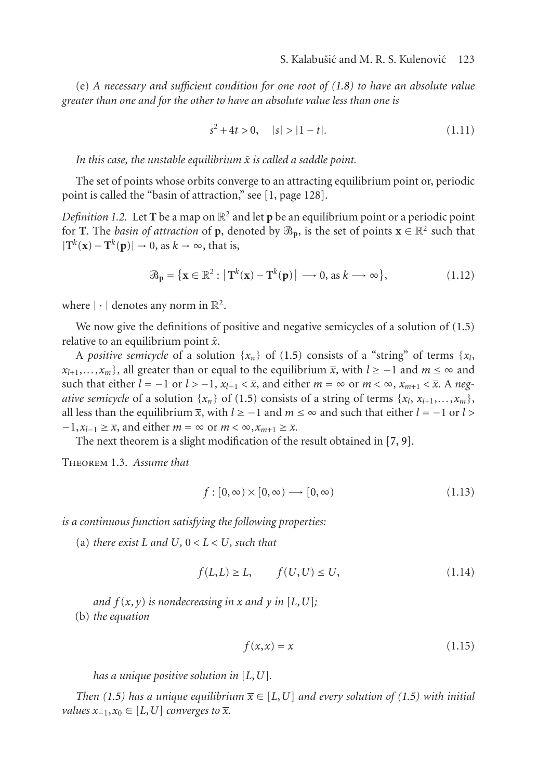(e) *A necessary and sufficient condition for one root of [\(1.8\)](#page-1-1) to have an absolute value greater than one and for the other to have an absolute value less than one is*

$$
s^2 + 4t > 0, \quad |s| > |1 - t|.
$$
 (1.11)

In this case, the unstable equilibrium  $\bar{x}$  is called a saddle point.

The set of points whose orbits converge to an attracting equilibrium point or, periodic point is called the "basin of attraction," see [\[1,](#page-17-2) page 128].

*Definition 1.2.* Let **T** be a map on  $\mathbb{R}^2$  and let **p** be an equilibrium point or a periodic point for **T**. The *basin of attraction* of **p**, denoted by  $\mathcal{B}_{p}$ , is the set of points  $\mathbf{x} \in \mathbb{R}^2$  such that  $|\mathbf{T}^k(\mathbf{x}) - \mathbf{T}^k(\mathbf{p})| \to 0$ , as  $k \to \infty$ , that is,

$$
\mathcal{B}_{\mathbf{p}} = \{ \mathbf{x} \in \mathbb{R}^2 : \left| \mathbf{T}^k(\mathbf{x}) - \mathbf{T}^k(\mathbf{p}) \right| \longrightarrow 0, \text{ as } k \longrightarrow \infty \},\tag{1.12}
$$

where  $|\cdot|$  denotes any norm in  $\mathbb{R}^2$ .

We now give the definitions of positive and negative semicycles of a solution of [\(1.5\)](#page-1-0) relative to an equilibrium point  $\bar{x}$ .

A *positive semicycle* of a solution  $\{x_n\}$  of [\(1.5\)](#page-1-0) consists of a "string" of terms  $\{x_l,$  $x_{l+1},...,x_m$ , all greater than or equal to the equilibrium  $\bar{x}$ , with  $l \geq -1$  and  $m \leq \infty$  and such that either  $l = -1$  or  $l > -1$ ,  $x_{l-1} < \overline{x}$ , and either  $m = \infty$  or  $m < \infty$ ,  $x_{m+1} < \overline{x}$ . A neg*ative semicycle* of a solution  $\{x_n\}$  of [\(1.5\)](#page-1-0) consists of a string of terms  $\{x_l, x_{l+1},...,x_m\}$ , all less than the equilibrium  $\bar{x}$ , with  $l \ge -1$  and  $m \le \infty$  and such that either  $l = -1$  or  $l >$  $-1, x_{l-1} \geq \overline{x}$ , and either  $m = \infty$  or  $m < \infty, x_{m+1} \geq \overline{x}$ .

The next theorem is a slight modification of the result obtained in [\[7,](#page-18-1) [9\]](#page-18-3).

<span id="page-2-0"></span>Theorem 1.3. *Assume that*

$$
f: [0, \infty) \times [0, \infty) \longrightarrow [0, \infty)
$$
\n(1.13)

*is a continuous function satisfying the following properties:*

(a) *there exist*  $L$  *and*  $U, 0 < L < U$ *, such that* 

$$
f(L,L) \ge L, \qquad f(U,U) \le U,\tag{1.14}
$$

*and*  $f(x, y)$  *is nondecreasing in x and*  $y$  *in* [*L*, *U*]*;* (b) *the equation*

$$
f(x,x) = x \tag{1.15}
$$

*has a unique positive solution in* [*L*,*U*]*.*

*Then* [\(1.5\)](#page-1-0) has a unique equilibrium  $\bar{x} \in [L, U]$  and every solution of (1.5) with initial *values*  $x_{-1}$ ,  $x_0 \in [L, U]$  *converges to*  $\overline{x}$ *.*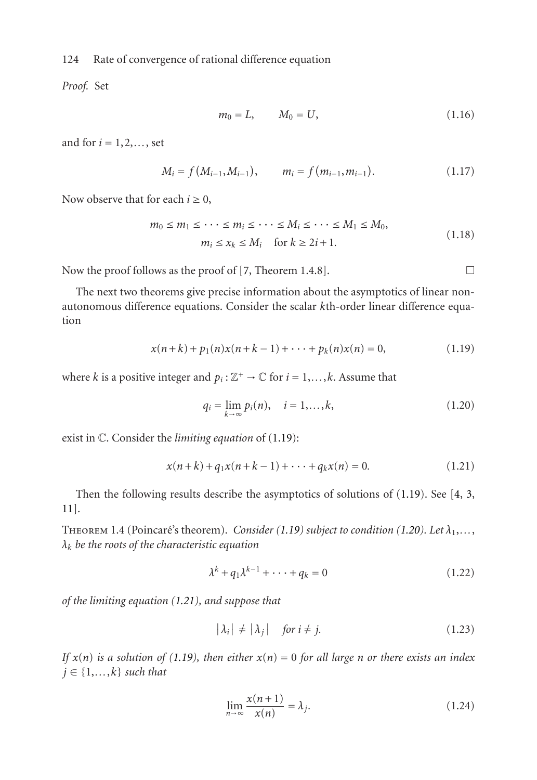*Proof.* Set

$$
m_0 = L, \qquad M_0 = U, \tag{1.16}
$$

and for  $i = 1, 2, \ldots$ , set

$$
M_i = f(M_{i-1}, M_{i-1}), \qquad m_i = f(m_{i-1}, m_{i-1}). \qquad (1.17)
$$

Now observe that for each  $i \geq 0$ ,

$$
m_0 \le m_1 \le \cdots \le m_i \le \cdots \le M_i \le \cdots \le M_1 \le M_0,
$$
  
\n
$$
m_i \le x_k \le M_i \quad \text{for } k \ge 2i+1.
$$
\n(1.18)

Now the proof follows as the proof of [\[7,](#page-18-1) Theorem 1.4.8].  $\Box$ 

The next two theorems give precise information about the asymptotics of linear nonautonomous difference equations. Consider the scalar *k*th-order linear difference equation

$$
x(n+k) + p_1(n)x(n+k-1) + \dots + p_k(n)x(n) = 0,
$$
\n(1.19)

where *k* is a positive integer and  $p_i : \mathbb{Z}^+ \to \mathbb{C}$  for  $i = 1, \ldots, k$ . Assume that

<span id="page-3-2"></span><span id="page-3-1"></span><span id="page-3-0"></span>
$$
q_i = \lim_{k \to \infty} p_i(n), \quad i = 1, ..., k,
$$
 (1.20)

exist in C. Consider the *limiting equation* of [\(1.19\)](#page-3-0):

$$
x(n+k) + q_1 x(n+k-1) + \dots + q_k x(n) = 0.
$$
 (1.21)

Then the following results describe the asymptotics of solutions of [\(1.19\)](#page-3-0). See [\[4,](#page-17-3) [3,](#page-17-4) [11\]](#page-18-5).

THEOREM 1.4 (Poincaré's theorem). *Consider [\(1.19\)](#page-3-0)* subject to condition [\(1.20\)](#page-3-1). Let  $\lambda_1, \ldots,$ *λk be the roots of the characteristic equation*

<span id="page-3-3"></span>
$$
\lambda^k + q_1 \lambda^{k-1} + \dots + q_k = 0 \tag{1.22}
$$

*of the limiting equation [\(1.21\)](#page-3-2), and suppose that*

$$
|\lambda_i| \neq |\lambda_j| \quad \text{for } i \neq j. \tag{1.23}
$$

*If*  $x(n)$  *is a solution of [\(1.19\)](#page-3-0), then either*  $x(n) = 0$  *for all large n or there exists an index*  $j \in \{1, \ldots, k\}$  *such that* 

$$
\lim_{n \to \infty} \frac{x(n+1)}{x(n)} = \lambda_j.
$$
\n(1.24)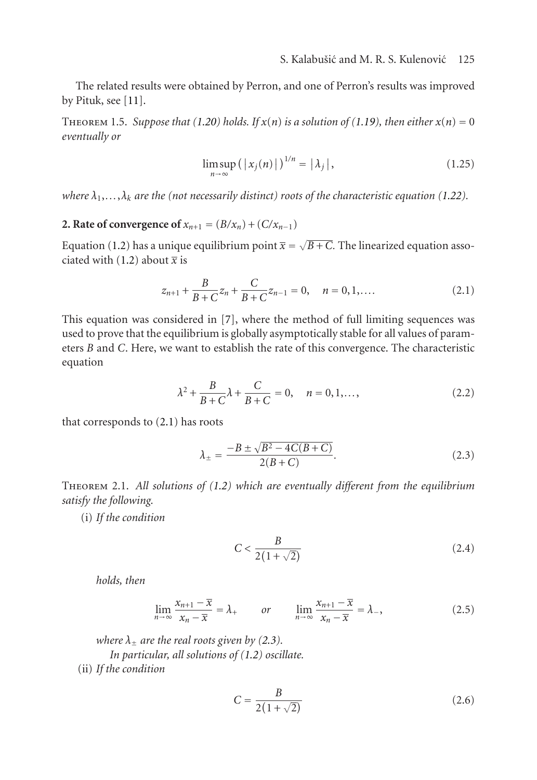<span id="page-4-5"></span>The related results were obtained by Perron, and one of Perron's results was improved by Pituk, see [\[11\]](#page-18-5).

THEOREM 1.5. *Suppose that* [\(1.20\)](#page-3-1) *holds.* If  $x(n)$  *is a solution of* [\(1.19\)](#page-3-0)*, then either*  $x(n) = 0$ *eventually or*

<span id="page-4-0"></span>
$$
\limsup_{n \to \infty} ( |x_j(n)| )^{1/n} = |\lambda_j|, \qquad (1.25)
$$

*where*  $\lambda_1, \ldots, \lambda_k$  *are the (not necessarily distinct) roots of the characteristic equation [\(1.22\)](#page-3-3).* 

# **2. Rate of convergence of**  $x_{n+1} = (B/x_n) + (C/x_{n-1})$

Equation [\(1.2\)](#page-0-1) has a unique equilibrium point  $\overline{x} = \sqrt{B+C}$ . The linearized equation asso-ciated with [\(1.2\)](#page-0-1) about  $\overline{x}$  is

$$
z_{n+1} + \frac{B}{B+C}z_n + \frac{C}{B+C}z_{n-1} = 0, \quad n = 0, 1, ....
$$
 (2.1)

This equation was considered in [\[7\]](#page-18-1), where the method of full limiting sequences was used to prove that the equilibrium is globally asymptotically stable for all values of parameters *B* and *C*. Here, we want to establish the rate of this convergence. The characteristic equation

$$
\lambda^{2} + \frac{B}{B+C}\lambda + \frac{C}{B+C} = 0, \quad n = 0, 1, \dots,
$$
 (2.2)

that corresponds to [\(2.1\)](#page-4-0) has roots

<span id="page-4-2"></span><span id="page-4-1"></span>
$$
\lambda_{\pm} = \frac{-B \pm \sqrt{B^2 - 4C(B + C)}}{2(B + C)}.
$$
\n(2.3)

Theorem 2.1. *All solutions of [\(1.2\)](#page-0-1) which are eventually different from the equilibrium satisfy the following.*

(i) *If the condition*

<span id="page-4-6"></span><span id="page-4-3"></span>
$$
C < \frac{B}{2(1+\sqrt{2})} \tag{2.4}
$$

*holds, then*

$$
\lim_{n \to \infty} \frac{x_{n+1} - \overline{x}}{x_n - \overline{x}} = \lambda_+ \qquad or \qquad \lim_{n \to \infty} \frac{x_{n+1} - \overline{x}}{x_n - \overline{x}} = \lambda_-, \tag{2.5}
$$

*where*  $\lambda_+$  *are the real roots given by [\(2.3\)](#page-4-1). In particular, all solutions of [\(1.2\)](#page-0-1) oscillate.* (ii) *If the condition*

<span id="page-4-4"></span>
$$
C = \frac{B}{2(1+\sqrt{2})} \tag{2.6}
$$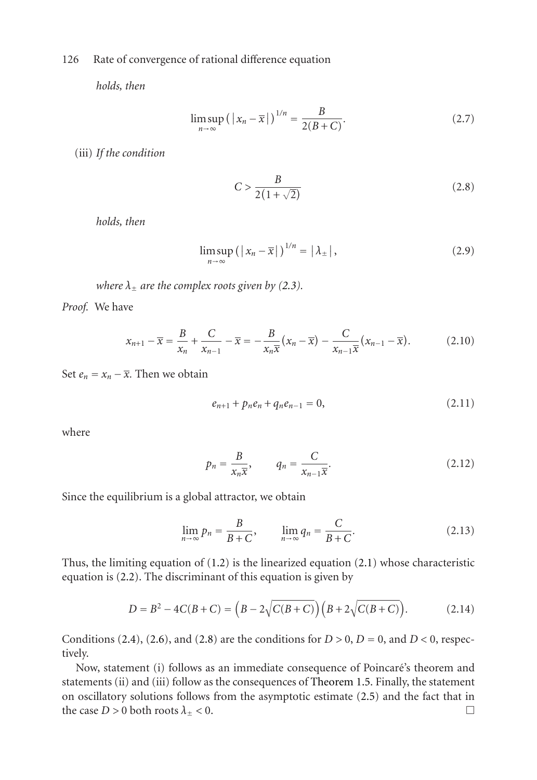*holds, then*

$$
\limsup_{n \to \infty} (|x_n - \overline{x}|)^{1/n} = \frac{B}{2(B+C)}.
$$
\n(2.7)

(iii) *If the condition*

<span id="page-5-0"></span>
$$
C > \frac{B}{2(1+\sqrt{2})} \tag{2.8}
$$

*holds, then*

$$
\limsup_{n \to \infty} (|x_n - \overline{x}|)^{1/n} = |\lambda_{\pm}|,
$$
\n(2.9)

*where*  $\lambda_{\pm}$  *are the complex roots given by [\(2.3\)](#page-4-1).* 

*Proof.* We have

$$
x_{n+1} - \overline{x} = \frac{B}{x_n} + \frac{C}{x_{n-1}} - \overline{x} = -\frac{B}{x_n \overline{x}} (x_n - \overline{x}) - \frac{C}{x_{n-1} \overline{x}} (x_{n-1} - \overline{x}). \tag{2.10}
$$

Set  $e_n = x_n - \overline{x}$ . Then we obtain

$$
e_{n+1} + p_n e_n + q_n e_{n-1} = 0, \qquad (2.11)
$$

where

$$
p_n = \frac{B}{x_n \overline{x}}, \qquad q_n = \frac{C}{x_{n-1} \overline{x}}.
$$
 (2.12)

Since the equilibrium is a global attractor, we obtain

$$
\lim_{n \to \infty} p_n = \frac{B}{B+C}, \qquad \lim_{n \to \infty} q_n = \frac{C}{B+C}.
$$
\n(2.13)

Thus, the limiting equation of [\(1.2\)](#page-0-1) is the linearized equation [\(2.1\)](#page-4-0) whose characteristic equation is [\(2.2\)](#page-4-2). The discriminant of this equation is given by

$$
D = B2 - 4C(B + C) = (B - 2\sqrt{C(B + C)}) (B + 2\sqrt{C(B + C)}).
$$
 (2.14)

Conditions [\(2.4\)](#page-4-3), [\(2.6\)](#page-4-4), and [\(2.8\)](#page-5-0) are the conditions for  $D > 0$ ,  $D = 0$ , and  $D < 0$ , respectively.

Now, statement (i) follows as an immediate consequence of Poincaré's theorem and statements (ii) and (iii) follow as the consequences of [Theorem 1.5.](#page-4-5) Finally, the statement on oscillatory solutions follows from the asymptotic estimate [\(2.5\)](#page-4-6) and the fact that in the case  $D > 0$  both roots  $\lambda_{\pm} < 0$ .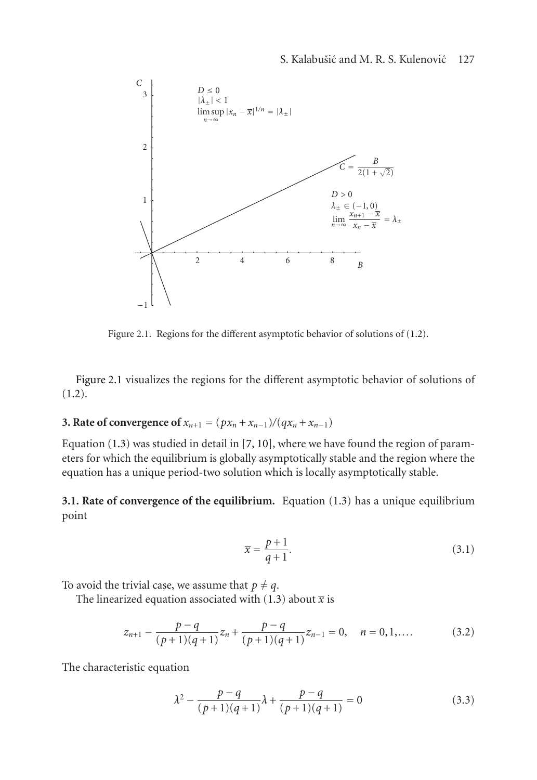

<span id="page-6-0"></span>Figure 2.1. Regions for the different asymptotic behavior of solutions of [\(1.2\)](#page-0-1).

[Figure 2.1](#page-6-0) visualizes the regions for the different asymptotic behavior of solutions of [\(1.2\)](#page-0-1).

## **3. Rate of convergence of**  $x_{n+1} = (px_n + x_{n-1})/(qx_n + x_{n-1})$

Equation  $(1.3)$  was studied in detail in  $[7, 10]$  $[7, 10]$  $[7, 10]$ , where we have found the region of parameters for which the equilibrium is globally asymptotically stable and the region where the equation has a unique period-two solution which is locally asymptotically stable.

**3.1. Rate of convergence of the equilibrium.** Equation [\(1.3\)](#page-0-2) has a unique equilibrium point

<span id="page-6-1"></span>
$$
\overline{x} = \frac{p+1}{q+1}.\tag{3.1}
$$

To avoid the trivial case, we assume that  $p \neq q$ .

The linearized equation associated with [\(1.3\)](#page-0-2) about  $\bar{x}$  is

$$
z_{n+1} - \frac{p-q}{(p+1)(q+1)}z_n + \frac{p-q}{(p+1)(q+1)}z_{n-1} = 0, \quad n = 0, 1, \dots
$$
 (3.2)

The characteristic equation

$$
\lambda^{2} - \frac{p-q}{(p+1)(q+1)}\lambda + \frac{p-q}{(p+1)(q+1)} = 0
$$
\n(3.3)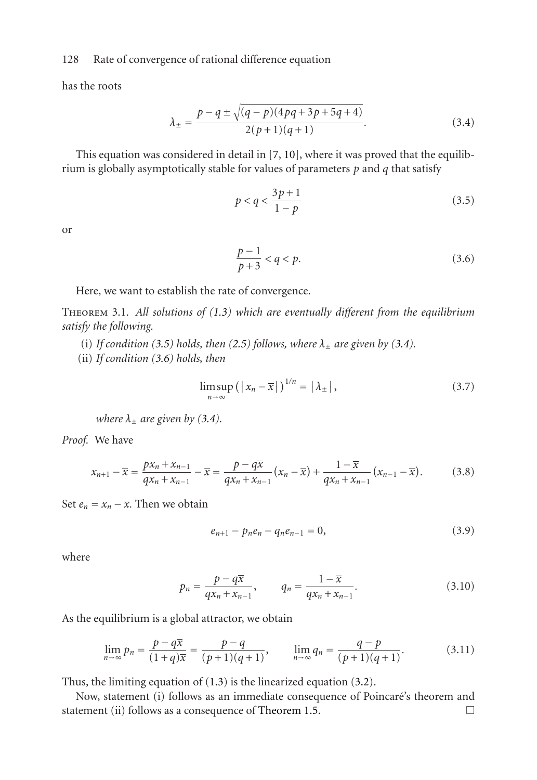has the roots

$$
\lambda_{\pm} = \frac{p - q \pm \sqrt{(q - p)(4pq + 3p + 5q + 4)}}{2(p + 1)(q + 1)}.
$$
\n(3.4)

This equation was considered in detail in [\[7,](#page-18-1) [10\]](#page-18-4), where it was proved that the equilibrium is globally asymptotically stable for values of parameters *p* and *q* that satisfy

<span id="page-7-1"></span><span id="page-7-0"></span>
$$
p < q < \frac{3p+1}{1-p} \tag{3.5}
$$

or

<span id="page-7-2"></span>
$$
\frac{p-1}{p+3} < q < p. \tag{3.6}
$$

Here, we want to establish the rate of convergence.

Theorem 3.1. *All solutions of [\(1.3\)](#page-0-2) which are eventually different from the equilibrium satisfy the following.*

- (i) If condition [\(3.5\)](#page-7-0) holds, then [\(2.5\)](#page-4-6) follows, where  $\lambda_{\pm}$  are given by [\(3.4\)](#page-7-1).
- (ii) *If condition [\(3.6\)](#page-7-2) holds, then*

<span id="page-7-3"></span>
$$
\limsup_{n \to \infty} (|x_n - \overline{x}|)^{1/n} = |\lambda_{\pm}|,
$$
\n(3.7)

*where*  $\lambda_{\pm}$  *are given by [\(3.4\)](#page-7-1).* 

*Proof.* We have

$$
x_{n+1} - \overline{x} = \frac{px_n + x_{n-1}}{qx_n + x_{n-1}} - \overline{x} = \frac{p - q\overline{x}}{qx_n + x_{n-1}} (x_n - \overline{x}) + \frac{1 - \overline{x}}{qx_n + x_{n-1}} (x_{n-1} - \overline{x}).
$$
 (3.8)

Set  $e_n = x_n - \overline{x}$ . Then we obtain

$$
e_{n+1} - p_n e_n - q_n e_{n-1} = 0, \qquad (3.9)
$$

where

$$
p_n = \frac{p - q\overline{x}}{qx_n + x_{n-1}}, \qquad q_n = \frac{1 - \overline{x}}{qx_n + x_{n-1}}.
$$
 (3.10)

As the equilibrium is a global attractor, we obtain

$$
\lim_{n \to \infty} p_n = \frac{p - q\overline{x}}{(1 + q)\overline{x}} = \frac{p - q}{(p + 1)(q + 1)}, \qquad \lim_{n \to \infty} q_n = \frac{q - p}{(p + 1)(q + 1)}.
$$
 (3.11)

Thus, the limiting equation of [\(1.3\)](#page-0-2) is the linearized equation [\(3.2\)](#page-6-1).

Now, statement (i) follows as an immediate consequence of Poincare's theorem and ´ statement (ii) follows as a consequence of [Theorem 1.5.](#page-4-5)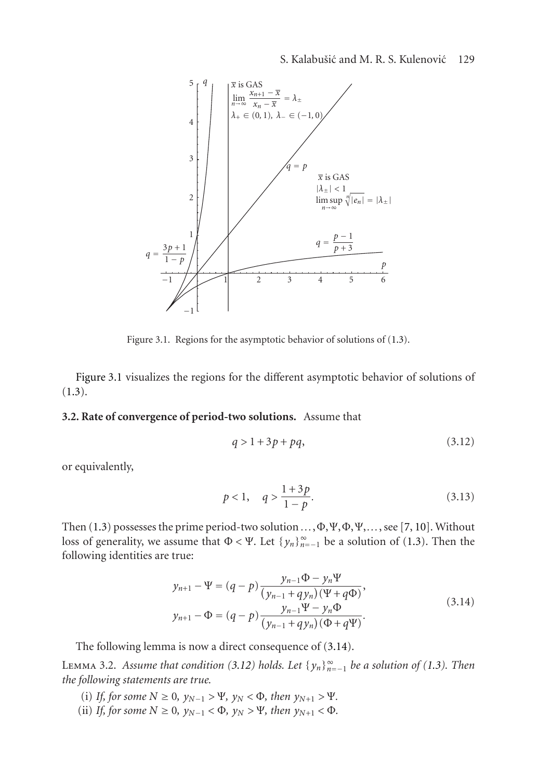

Figure 3.1. Regions for the asymptotic behavior of solutions of [\(1.3\)](#page-0-2).

[Figure 3.1](#page-6-0) visualizes the regions for the different asymptotic behavior of solutions of [\(1.3\)](#page-0-2).

## **3.2. Rate of convergence of period-two solutions.** Assume that

<span id="page-8-3"></span><span id="page-8-1"></span>
$$
q > 1 + 3p + pq,\tag{3.12}
$$

or equivalently,

$$
p < 1, \quad q > \frac{1+3p}{1-p}.\tag{3.13}
$$

<span id="page-8-0"></span>Then [\(1.3\)](#page-0-2) possesses the prime period-two solution *...*,Φ,Ψ,Φ,Ψ,*...*, see [\[7,](#page-18-1) [10\]](#page-18-4). Without loss of generality, we assume that  $\Phi < \Psi$ . Let  $\{y_n\}_{n=-1}^{\infty}$  be a solution of [\(1.3\)](#page-0-2). Then the following identities are true:

$$
y_{n+1} - \Psi = (q - p) \frac{y_{n-1}\Phi - y_n\Psi}{(y_{n-1} + qy_n)(\Psi + q\Phi)},
$$
  
\n
$$
y_{n+1} - \Phi = (q - p) \frac{y_{n-1}\Psi - y_n\Phi}{(y_{n-1} + qy_n)(\Phi + q\Psi)}.
$$
\n(3.14)

The following lemma is now a direct consequence of [\(3.14\)](#page-8-0).

<span id="page-8-2"></span>LEMMA 3.2. *Assume that condition* [\(3.12\)](#page-8-1) *holds.* Let  $\{y_n\}_{n=-1}^{\infty}$  *be a solution of* [\(1.3\)](#page-0-2)*.* Then *the following statements are true.*

- (i) *If, for some*  $N \ge 0$ *,*  $y_{N-1} > \Psi$ *,*  $y_N < \Phi$ *, then*  $y_{N+1} > \Psi$ *.*
- (ii) *If, for some*  $N \ge 0$ *,*  $y_{N-1} < \Phi$ *,*  $y_N > \Psi$ *, then*  $y_{N+1} < \Phi$ *.*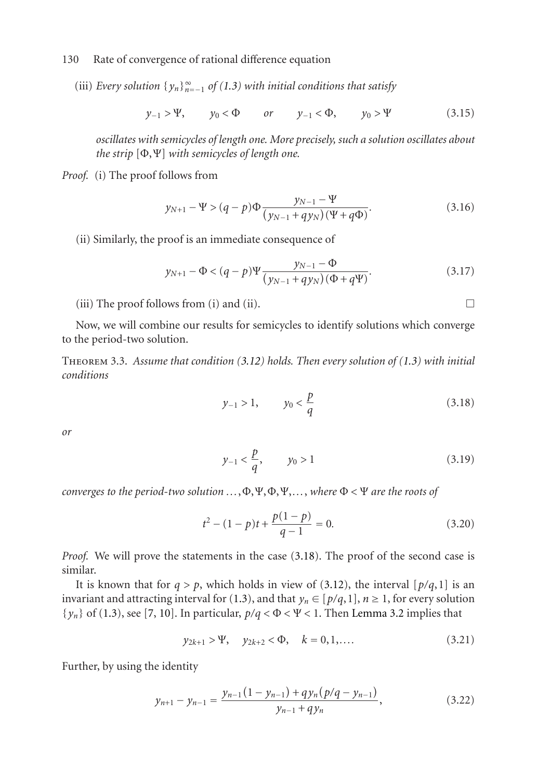(iii) *Every solution*  $\{y_n\}_{n=-1}^{\infty}$  *of* [\(1.3\)](#page-0-2) *with initial conditions that satisfy* 

$$
y_{-1} > \Psi
$$
,  $y_0 < \Phi$  or  $y_{-1} < \Phi$ ,  $y_0 > \Psi$  (3.15)

*oscillates with semicycles of length one. More precisely, such a solution oscillates about the strip* [Φ,Ψ] *with semicycles of length one.*

*Proof.* (i) The proof follows from

$$
y_{N+1} - \Psi > (q - p)\Phi \frac{y_{N-1} - \Psi}{(y_{N-1} + qy_N)(\Psi + q\Phi)}.
$$
\n(3.16)

(ii) Similarly, the proof is an immediate consequence of

$$
y_{N+1} - \Phi < (q-p)\Psi \frac{y_{N-1} - \Phi}{(y_{N-1} + qy_N)(\Phi + q\Psi)}.\tag{3.17}
$$

(iii) The proof follows from (i) and (ii).

<span id="page-9-1"></span>Now, we will combine our results for semicycles to identify solutions which converge to the period-two solution.

Theorem 3.3. *Assume that condition [\(3.12\)](#page-8-1) holds. Then every solution of [\(1.3\)](#page-0-2) with initial conditions*

$$
y_{-1} > 1, \qquad y_0 < \frac{p}{q} \tag{3.18}
$$

*or*

$$
y_{-1} < \frac{p}{q}, \qquad y_0 > 1 \tag{3.19}
$$

*converges to the period-two solution ...*,Φ,Ψ,Φ,Ψ,*...*, *where* Φ *<* Ψ *are the roots of*

$$
t^{2} - (1 - p)t + \frac{p(1 - p)}{q - 1} = 0.
$$
 (3.20)

*Proof.* We will prove the statements in the case [\(3.18\)](#page-9-0). The proof of the second case is similar.

It is known that for  $q > p$ , which holds in view of [\(3.12\)](#page-8-1), the interval [ $p/q$ , 1] is an invariant and attracting interval for [\(1.3\)](#page-0-2), and that  $y_n \in [p/q,1]$ ,  $n \ge 1$ , for every solution  $\{y_n\}$  of [\(1.3\)](#page-0-2), see [\[7,](#page-18-1) [10\]](#page-18-4). In particular,  $p/q < \Phi < \Psi < 1$ . Then [Lemma 3.2](#page-8-2) implies that

$$
y_{2k+1} > \Psi
$$
,  $y_{2k+2} < \Phi$ ,  $k = 0, 1, ...$  (3.21)

Further, by using the identity

$$
y_{n+1} - y_{n-1} = \frac{y_{n-1}(1 - y_{n-1}) + qy_n(p/q - y_{n-1})}{y_{n-1} + qy_n},
$$
\n(3.22)

<span id="page-9-0"></span>
$$
\Box
$$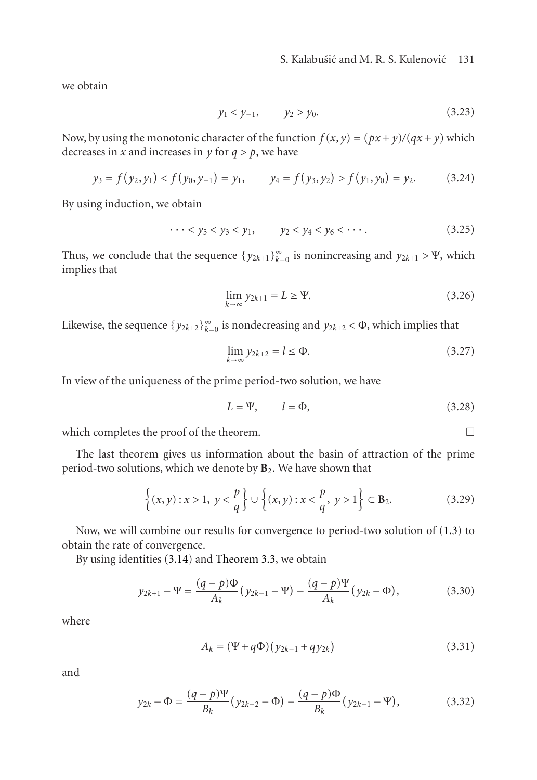we obtain

$$
y_1 < y_{-1}, \qquad y_2 > y_0. \tag{3.23}
$$

Now, by using the monotonic character of the function  $f(x, y) = (px + y)/(qx + y)$  which decreases in *x* and increases in *y* for  $q > p$ , we have

$$
y_3 = f(y_2, y_1) < f(y_0, y_{-1}) = y_1,
$$
  $y_4 = f(y_3, y_2) > f(y_1, y_0) = y_2.$  (3.24)

By using induction, we obtain

$$
\cdots < y_5 < y_3 < y_1, \qquad y_2 < y_4 < y_6 < \cdots. \tag{3.25}
$$

Thus, we conclude that the sequence  $\{y_{2k+1}\}_{k=0}^{\infty}$  is nonincreasing and  $y_{2k+1} > \Psi$ , which implies that

$$
\lim_{k \to \infty} y_{2k+1} = L \ge \Psi.
$$
\n(3.26)

Likewise, the sequence  $\{y_{2k+2}\}_{k=0}^{\infty}$  is nondecreasing and  $y_{2k+2} < \Phi$ , which implies that

$$
\lim_{k \to \infty} y_{2k+2} = l \le \Phi.
$$
\n(3.27)

In view of the uniqueness of the prime period-two solution, we have

$$
L = \Psi, \qquad l = \Phi,
$$
\n(3.28)

which completes the proof of the theorem.  $\Box$ 

The last theorem gives us information about the basin of attraction of the prime period-two solutions, which we denote by **B**2. We have shown that

$$
\left\{ (x,y): x > 1, y < \frac{p}{q} \right\} \cup \left\{ (x,y): x < \frac{p}{q}, y > 1 \right\} \subset \mathbf{B}_2.
$$
 (3.29)

Now, we will combine our results for convergence to period-two solution of [\(1.3\)](#page-0-2) to obtain the rate of convergence.

By using identities [\(3.14\)](#page-8-0) and [Theorem 3.3,](#page-9-1) we obtain

$$
y_{2k+1} - \Psi = \frac{(q-p)\Phi}{A_k} (y_{2k-1} - \Psi) - \frac{(q-p)\Psi}{A_k} (y_{2k} - \Phi),
$$
 (3.30)

where

<span id="page-10-1"></span><span id="page-10-0"></span>
$$
A_k = (\Psi + q\Phi)(y_{2k-1} + qy_{2k})
$$
\n(3.31)

and

$$
y_{2k} - \Phi = \frac{(q-p)\Psi}{B_k} (y_{2k-2} - \Phi) - \frac{(q-p)\Phi}{B_k} (y_{2k-1} - \Psi), \tag{3.32}
$$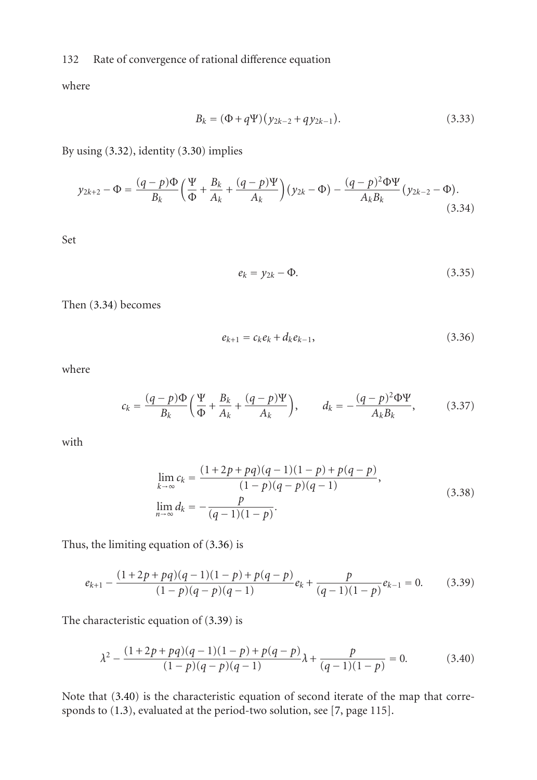where

$$
B_k = (\Phi + q\Psi)(y_{2k-2} + qy_{2k-1}).
$$
\n(3.33)

By using [\(3.32\)](#page-10-0), identity [\(3.30\)](#page-10-1) implies

$$
y_{2k+2} - \Phi = \frac{(q-p)\Phi}{B_k} \left(\frac{\Psi}{\Phi} + \frac{B_k}{A_k} + \frac{(q-p)\Psi}{A_k}\right) (y_{2k} - \Phi) - \frac{(q-p)^2 \Phi \Psi}{A_k B_k} (y_{2k-2} - \Phi).
$$
\n(3.34)

Set

<span id="page-11-1"></span><span id="page-11-0"></span>
$$
e_k = y_{2k} - \Phi. \tag{3.35}
$$

Then [\(3.34\)](#page-11-0) becomes

$$
e_{k+1} = c_k e_k + d_k e_{k-1},
$$
\n(3.36)

where

$$
c_k = \frac{(q-p)\Phi}{B_k} \left(\frac{\Psi}{\Phi} + \frac{B_k}{A_k} + \frac{(q-p)\Psi}{A_k}\right), \qquad d_k = -\frac{(q-p)^2 \Phi \Psi}{A_k B_k}, \tag{3.37}
$$

with

<span id="page-11-2"></span>
$$
\lim_{k \to \infty} c_k = \frac{(1+2p+pq)(q-1)(1-p)+p(q-p)}{(1-p)(q-p)(q-1)},
$$
\n
$$
\lim_{n \to \infty} d_k = -\frac{p}{(q-1)(1-p)}.
$$
\n(3.38)

Thus, the limiting equation of [\(3.36\)](#page-11-1) is

$$
e_{k+1} - \frac{(1+2p+pq)(q-1)(1-p)+p(q-p)}{(1-p)(q-p)(q-1)}e_k + \frac{p}{(q-1)(1-p)}e_{k-1} = 0.
$$
 (3.39)

The characteristic equation of [\(3.39\)](#page-11-2) is

<span id="page-11-3"></span>
$$
\lambda^2 - \frac{(1+2p+pq)(q-1)(1-p) + p(q-p)}{(1-p)(q-p)(q-1)}\lambda + \frac{p}{(q-1)(1-p)} = 0.
$$
 (3.40)

Note that [\(3.40\)](#page-11-3) is the characteristic equation of second iterate of the map that corresponds to [\(1.3\)](#page-0-2), evaluated at the period-two solution, see [\[7,](#page-18-1) page 115].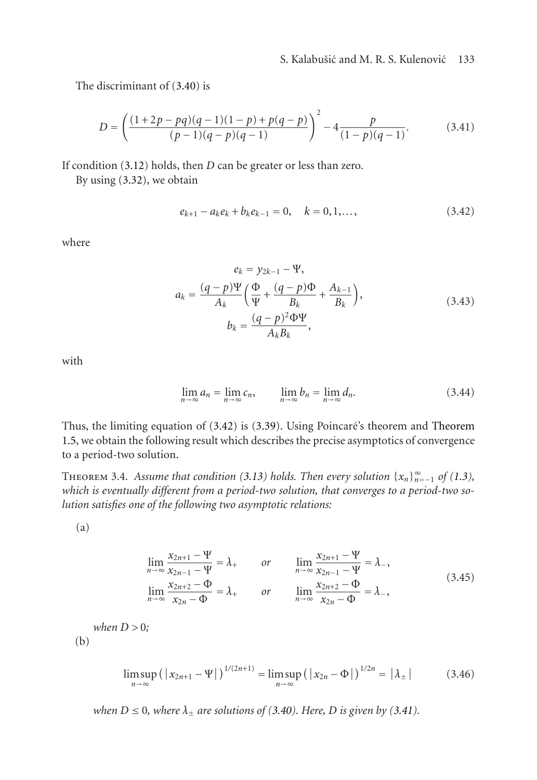The discriminant of [\(3.40\)](#page-11-3) is

$$
D = \left(\frac{(1+2p-pq)(q-1)(1-p) + p(q-p)}{(p-1)(q-p)(q-1)}\right)^2 - 4\frac{p}{(1-p)(q-1)}.
$$
 (3.41)

If condition [\(3.12\)](#page-8-1) holds, then *D* can be greater or less than zero.

By using [\(3.32\)](#page-10-0), we obtain

<span id="page-12-1"></span><span id="page-12-0"></span>
$$
e_{k+1} - a_k e_k + b_k e_{k-1} = 0, \quad k = 0, 1, \dots,
$$
 (3.42)

where

$$
e_{k} = y_{2k-1} - \Psi,
$$
  
\n
$$
a_{k} = \frac{(q-p)\Psi}{A_{k}} \left(\frac{\Phi}{\Psi} + \frac{(q-p)\Phi}{B_{k}} + \frac{A_{k-1}}{B_{k}}\right),
$$
  
\n
$$
b_{k} = \frac{(q-p)^{2}\Phi\Psi}{A_{k}B_{k}},
$$
\n(3.43)

with

$$
\lim_{n \to \infty} a_n = \lim_{n \to \infty} c_n, \qquad \lim_{n \to \infty} b_n = \lim_{n \to \infty} d_n. \tag{3.44}
$$

Thus, the limiting equation of  $(3.42)$  is  $(3.39)$ . Using Poincaré's theorem and [Theorem](#page-4-5) [1.5,](#page-4-5) we obtain the following result which describes the precise asymptotics of convergence to a period-two solution.

THEOREM 3.4. *Assume that condition* [\(3.13\)](#page-8-3) *holds. Then every solution*  $\{x_n\}_{n=-1}^{\infty}$  *of* [\(1.3\)](#page-0-2)*, which is eventually different from a period-two solution, that converges to a period-two solution satisfies one of the following two asymptotic relations:*

(a)

$$
\lim_{n \to \infty} \frac{x_{2n+1} - \Psi}{x_{2n-1} - \Psi} = \lambda_+ \qquad or \qquad \lim_{n \to \infty} \frac{x_{2n+1} - \Psi}{x_{2n-1} - \Psi} = \lambda_-,
$$
\n
$$
\lim_{n \to \infty} \frac{x_{2n+2} - \Phi}{x_{2n} - \Phi} = \lambda_+ \qquad or \qquad \lim_{n \to \infty} \frac{x_{2n+2} - \Phi}{x_{2n} - \Phi} = \lambda_-,
$$
\n(3.45)

$$
when D > 0;
$$
\n
$$
(b)
$$

$$
\limsup_{n \to \infty} (|x_{2n+1} - \Psi|)^{1/(2n+1)} = \limsup_{n \to \infty} (|x_{2n} - \Phi|)^{1/2n} = |\lambda_{\pm}| \tag{3.46}
$$

*when*  $D \le 0$ *, where*  $\lambda_{\pm}$  *are solutions of* [\(3.40\)](#page-11-3)*. Here,*  $D$  *is given by* [\(3.41\)](#page-12-1)*.*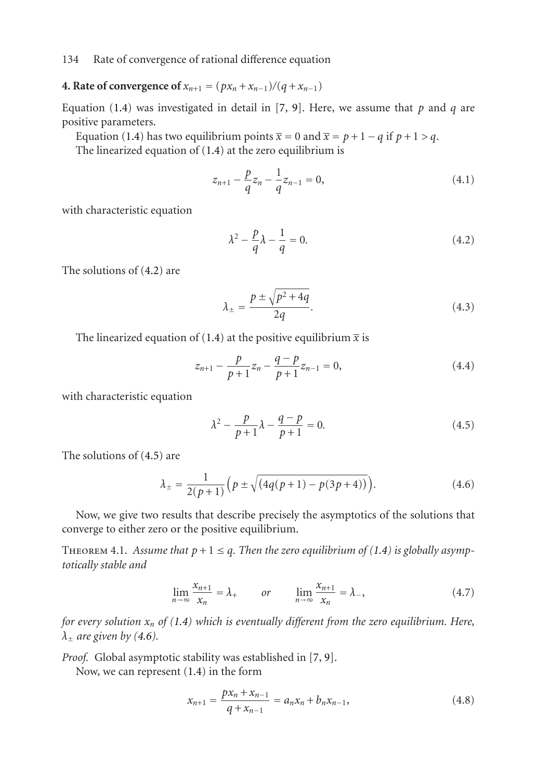# **4. Rate of convergence of**  $x_{n+1} = (px_n + x_{n-1})/(q + x_{n-1})$

Equation [\(1.4\)](#page-0-3) was investigated in detail in [\[7,](#page-18-1) [9\]](#page-18-3). Here, we assume that  $p$  and  $q$  are positive parameters.

Equation [\(1.4\)](#page-0-3) has two equilibrium points  $\bar{x} = 0$  and  $\bar{x} = p + 1 - q$  if  $p + 1 > q$ .

The linearized equation of [\(1.4\)](#page-0-3) at the zero equilibrium is

<span id="page-13-3"></span>
$$
z_{n+1} - \frac{p}{q}z_n - \frac{1}{q}z_{n-1} = 0,
$$
\n(4.1)

with characteristic equation

<span id="page-13-0"></span>
$$
\lambda^2 - \frac{p}{q}\lambda - \frac{1}{q} = 0.\tag{4.2}
$$

The solutions of [\(4.2\)](#page-13-0) are

<span id="page-13-4"></span>
$$
\lambda_{\pm} = \frac{p \pm \sqrt{p^2 + 4q}}{2q}.
$$
\n(4.3)

The linearized equation of [\(1.4\)](#page-0-3) at the positive equilibrium  $\bar{x}$  is

$$
z_{n+1} - \frac{p}{p+1}z_n - \frac{q-p}{p+1}z_{n-1} = 0, \tag{4.4}
$$

with characteristic equation

<span id="page-13-2"></span><span id="page-13-1"></span>
$$
\lambda^2 - \frac{p}{p+1}\lambda - \frac{q-p}{p+1} = 0.
$$
 (4.5)

The solutions of [\(4.5\)](#page-13-1) are

$$
\lambda_{\pm} = \frac{1}{2(p+1)} \left( p \pm \sqrt{(4q(p+1) - p(3p+4))} \right). \tag{4.6}
$$

Now, we give two results that describe precisely the asymptotics of the solutions that converge to either zero or the positive equilibrium.

THEOREM 4.1. Assume that  $p + 1 \leq q$ . Then the zero equilibrium of [\(1.4\)](#page-0-3) is globally asymp*totically stable and*

$$
\lim_{n \to \infty} \frac{x_{n+1}}{x_n} = \lambda_+ \qquad or \qquad \lim_{n \to \infty} \frac{x_{n+1}}{x_n} = \lambda_-, \tag{4.7}
$$

*for every solution xn of [\(1.4\)](#page-0-3) which is eventually different from the zero equilibrium. Here,*  $\lambda_{\pm}$  *are given by [\(4.6\)](#page-13-2).* 

*Proof.* Global asymptotic stability was established in [\[7,](#page-18-1) [9\]](#page-18-3).

Now, we can represent [\(1.4\)](#page-0-3) in the form

$$
x_{n+1} = \frac{px_n + x_{n-1}}{q + x_{n-1}} = a_n x_n + b_n x_{n-1},
$$
\n(4.8)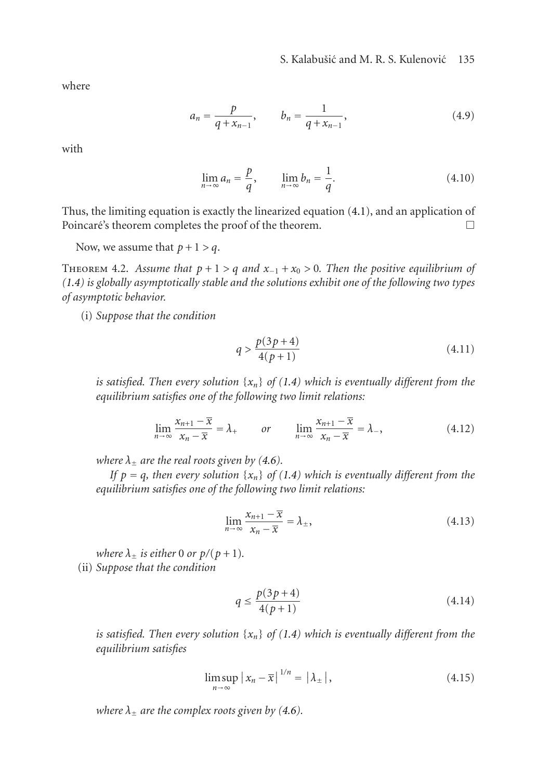where

$$
a_n = \frac{p}{q + x_{n-1}}, \qquad b_n = \frac{1}{q + x_{n-1}}, \tag{4.9}
$$

with

$$
\lim_{n \to \infty} a_n = \frac{p}{q}, \qquad \lim_{n \to \infty} b_n = \frac{1}{q}.
$$
\n(4.10)

Thus, the limiting equation is exactly the linearized equation [\(4.1\)](#page-13-3), and an application of Poincaré's theorem completes the proof of the theorem.  $\Box$ 

Now, we assume that  $p + 1 > q$ .

THEOREM 4.2. Assume that  $p + 1 > q$  and  $x_{-1} + x_0 > 0$ . Then the positive equilibrium of *[\(1.4\)](#page-0-3) is globally asymptotically stable and the solutions exhibit one of the following two types of asymptotic behavior.*

(i) *Suppose that the condition*

<span id="page-14-2"></span><span id="page-14-0"></span>
$$
q > \frac{p(3p+4)}{4(p+1)}
$$
\n(4.11)

*is satisfied. Then every solution*  $\{x_n\}$  *of* [\(1.4\)](#page-0-3) which is eventually different from the *equilibrium satisfies one of the following two limit relations:*

$$
\lim_{n \to \infty} \frac{x_{n+1} - \overline{x}}{x_n - \overline{x}} = \lambda_+ \qquad or \qquad \lim_{n \to \infty} \frac{x_{n+1} - \overline{x}}{x_n - \overline{x}} = \lambda_-, \tag{4.12}
$$

*where*  $\lambda_{\pm}$  *are the real roots given by [\(4.6\)](#page-13-2).* 

*If*  $p = q$ *, then every solution*  $\{x_n\}$  *of* [\(1.4\)](#page-0-3) which is eventually different from the *equilibrium satisfies one of the following two limit relations:*

$$
\lim_{n \to \infty} \frac{x_{n+1} - \overline{x}}{x_n - \overline{x}} = \lambda_{\pm},
$$
\n(4.13)

*where*  $\lambda_{\pm}$  *is either* 0 *or*  $p/(p+1)$ *.* (ii) *Suppose that the condition*

<span id="page-14-1"></span>
$$
q \le \frac{p(3p+4)}{4(p+1)}
$$
\n(4.14)

*is satisfied. Then every solution* {*xn*} *of [\(1.4\)](#page-0-3) which is eventually different from the equilibrium satisfies*

$$
\limsup_{n \to \infty} |x_n - \overline{x}|^{1/n} = |\lambda_{\pm}|,\tag{4.15}
$$

*where*  $\lambda_{\pm}$  *are the complex roots given by [\(4.6\)](#page-13-2).*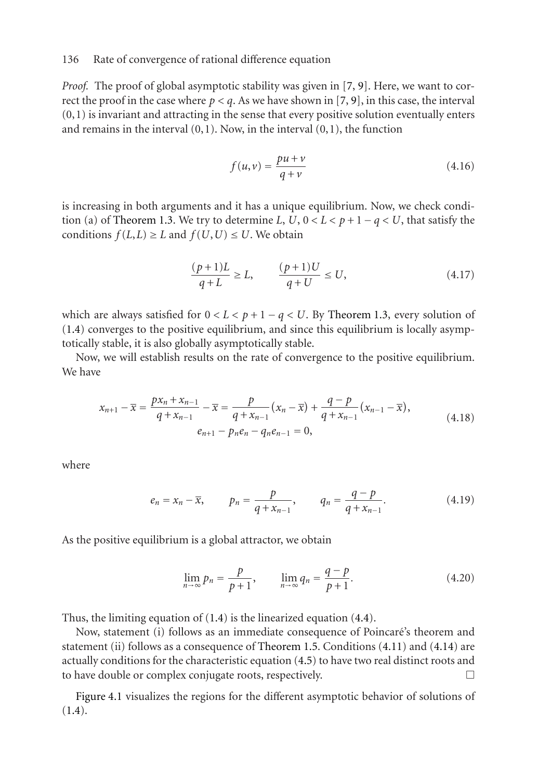*Proof.* The proof of global asymptotic stability was given in [\[7,](#page-18-1) [9\]](#page-18-3). Here, we want to correct the proof in the case where  $p < q$ . As we have shown in [\[7,](#page-18-1) [9\]](#page-18-3), in this case, the interval  $(0,1)$  is invariant and attracting in the sense that every positive solution eventually enters and remains in the interval  $(0,1)$ . Now, in the interval  $(0,1)$ , the function

$$
f(u,v) = \frac{pu + v}{q + v} \tag{4.16}
$$

is increasing in both arguments and it has a unique equilibrium. Now, we check condi-tion (a) of [Theorem 1.3.](#page-2-0) We try to determine *L*,  $U$ ,  $0 < L < p + 1 - q < U$ , that satisfy the conditions  $f(L,L) \ge L$  and  $f(U,U) \le U$ . We obtain

$$
\frac{(p+1)L}{q+L} \ge L, \qquad \frac{(p+1)U}{q+U} \le U,\tag{4.17}
$$

which are always satisfied for  $0 < L < p + 1 - q < U$ . By [Theorem 1.3,](#page-2-0) every solution of [\(1.4\)](#page-0-3) converges to the positive equilibrium, and since this equilibrium is locally asymptotically stable, it is also globally asymptotically stable.

Now, we will establish results on the rate of convergence to the positive equilibrium. We have

$$
x_{n+1} - \overline{x} = \frac{px_n + x_{n-1}}{q + x_{n-1}} - \overline{x} = \frac{p}{q + x_{n-1}}(x_n - \overline{x}) + \frac{q - p}{q + x_{n-1}}(x_{n-1} - \overline{x}),
$$
  
\n
$$
e_{n+1} - p_n e_n - q_n e_{n-1} = 0,
$$
\n(4.18)

where

$$
e_n = x_n - \overline{x}
$$
,  $p_n = \frac{p}{q + x_{n-1}}$ ,  $q_n = \frac{q - p}{q + x_{n-1}}$ . (4.19)

As the positive equilibrium is a global attractor, we obtain

$$
\lim_{n \to \infty} p_n = \frac{p}{p+1}, \qquad \lim_{n \to \infty} q_n = \frac{q-p}{p+1}.
$$
\n(4.20)

Thus, the limiting equation of [\(1.4\)](#page-0-3) is the linearized equation [\(4.4\)](#page-13-4).

Now, statement (i) follows as an immediate consequence of Poincaré's theorem and statement (ii) follows as a consequence of [Theorem 1.5.](#page-4-5) Conditions [\(4.11\)](#page-14-0) and [\(4.14\)](#page-14-1) are actually conditions for the characteristic equation [\(4.5\)](#page-13-1) to have two real distinct roots and to have double or complex conjugate roots, respectively.

[Figure 4.1](#page-6-0) visualizes the regions for the different asymptotic behavior of solutions of [\(1.4\)](#page-0-3).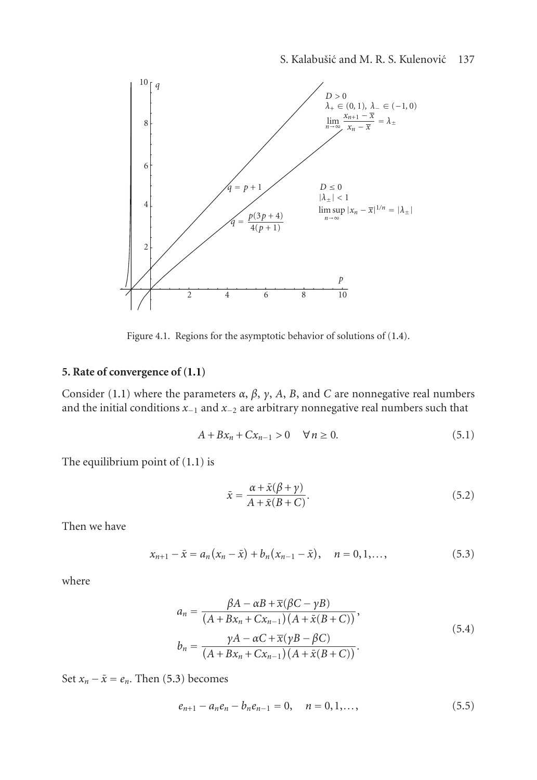

Figure 4.1. Regions for the asymptotic behavior of solutions of [\(1.4\)](#page-0-3).

# **5. Rate of convergence of [\(1.1\)](#page-0-0)**

Consider [\(1.1\)](#page-0-0) where the parameters  $\alpha$ ,  $\beta$ ,  $\gamma$ ,  $A$ ,  $B$ , and  $C$  are nonnegative real numbers and the initial conditions *<sup>x</sup>*−<sup>1</sup> and *<sup>x</sup>*−<sup>2</sup> are arbitrary nonnegative real numbers such that

$$
A + Bx_n + Cx_{n-1} > 0 \quad \forall n \ge 0.
$$
 (5.1)

The equilibrium point of [\(1.1\)](#page-0-0) is

<span id="page-16-0"></span>
$$
\bar{x} = \frac{\alpha + \bar{x}(\beta + \gamma)}{A + \bar{x}(B + C)}.\tag{5.2}
$$

Then we have

$$
x_{n+1} - \bar{x} = a_n (x_n - \bar{x}) + b_n (x_{n-1} - \bar{x}), \quad n = 0, 1, \dots,
$$
 (5.3)

where

$$
a_n = \frac{\beta A - \alpha B + \overline{x}(\beta C - \gamma B)}{(A + Bx_n + Cx_{n-1})(A + \overline{x}(B + C))},
$$
  
\n
$$
b_n = \frac{\gamma A - \alpha C + \overline{x}(\gamma B - \beta C)}{(A + Bx_n + Cx_{n-1})(A + \overline{x}(B + C))}.
$$
\n(5.4)

Set  $x_n - \bar{x} = e_n$ . Then [\(5.3\)](#page-16-0) becomes

<span id="page-16-1"></span>
$$
e_{n+1} - a_n e_n - b_n e_{n-1} = 0, \quad n = 0, 1, \dots,
$$
 (5.5)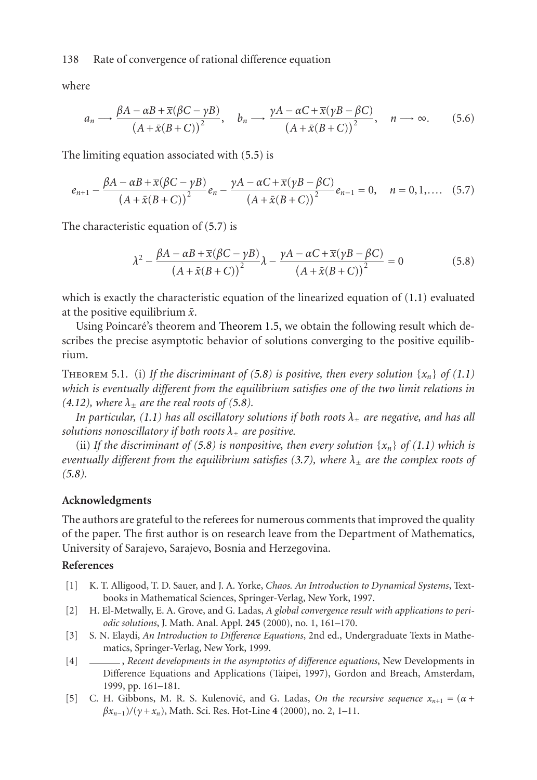where

$$
a_n \longrightarrow \frac{\beta A - \alpha B + \overline{x}(\beta C - \gamma B)}{(A + \overline{x}(B + C))^2}, \quad b_n \longrightarrow \frac{\gamma A - \alpha C + \overline{x}(\gamma B - \beta C)}{(A + \overline{x}(B + C))^2}, \quad n \longrightarrow \infty.
$$
 (5.6)

The limiting equation associated with [\(5.5\)](#page-16-1) is

$$
e_{n+1} - \frac{\beta A - \alpha B + \overline{x}(\beta C - \gamma B)}{(A + \overline{x}(B + C))^{2}} e_{n} - \frac{\gamma A - \alpha C + \overline{x}(\gamma B - \beta C)}{(A + \overline{x}(B + C))^{2}} e_{n-1} = 0, \quad n = 0, 1, .... \quad (5.7)
$$

The characteristic equation of [\(5.7\)](#page-17-5) is

<span id="page-17-6"></span><span id="page-17-5"></span>
$$
\lambda^2 - \frac{\beta A - \alpha B + \overline{x}(\beta C - \gamma B)}{(A + \overline{x}(B + C))^2} \lambda - \frac{\gamma A - \alpha C + \overline{x}(\gamma B - \beta C)}{(A + \overline{x}(B + C))^2} = 0
$$
\n(5.8)

which is exactly the characteristic equation of the linearized equation of [\(1.1\)](#page-0-0) evaluated at the positive equilibrium  $\bar{x}$ .

Using Poincaré's theorem and [Theorem 1.5,](#page-4-5) we obtain the following result which describes the precise asymptotic behavior of solutions converging to the positive equilibrium.

THEOREM 5.1. (i) If the discriminant of [\(5.8\)](#page-17-6) is positive, then every solution  $\{x_n\}$  of [\(1.1\)](#page-0-0) *which is eventually different from the equilibrium satisfies one of the two limit relations in*  $(4.12)$ *, where*  $\lambda_+$  *are the real roots of* [\(5.8\)](#page-17-6)*.* 

*In particular,* [\(1.1\)](#page-0-0) has all oscillatory solutions if both roots  $\lambda_+$  are negative, and has all *solutions nonoscillatory if both roots*  $\lambda_+$  *are positive.* 

(ii) If the discriminant of [\(5.8\)](#page-17-6) is nonpositive, then every solution  $\{x_n\}$  of [\(1.1\)](#page-0-0) which is *eventually different from the equilibrium satisfies [\(3.7\)](#page-7-3), where <sup>λ</sup>*<sup>±</sup> *are the complex roots of [\(5.8\)](#page-17-6).*

## **Acknowledgments**

The authors are grateful to the referees for numerous comments that improved the quality of the paper. The first author is on research leave from the Department of Mathematics, University of Sarajevo, Sarajevo, Bosnia and Herzegovina.

#### <span id="page-17-2"></span>**References**

- [1] K. T. Alligood, T. D. Sauer, and J. A. Yorke, *Chaos. An Introduction to Dynamical Systems*, Textbooks in Mathematical Sciences, Springer-Verlag, New York, 1997.
- <span id="page-17-0"></span>[2] H. El-Metwally, E. A. Grove, and G. Ladas, *A global convergence result with applications to periodic solutions*, J. Math. Anal. Appl. **245** (2000), no. 1, 161–170.
- <span id="page-17-4"></span>[3] S. N. Elaydi, *An Introduction to Difference Equations*, 2nd ed., Undergraduate Texts in Mathematics, Springer-Verlag, New York, 1999.
- <span id="page-17-3"></span>[4] , *Recent developments in the asymptotics of difference equations*, New Developments in Difference Equations and Applications (Taipei, 1997), Gordon and Breach, Amsterdam, 1999, pp. 161–181.
- <span id="page-17-1"></span>[5] C. H. Gibbons, M. R. S. Kulenović, and G. Ladas, *On the recursive sequence*  $x_{n+1} = (\alpha + \beta)$ *βxn*−1)*/*(*<sup>γ</sup>* <sup>+</sup>*xn*), Math. Sci. Res. Hot-Line **<sup>4</sup>** (2000), no. 2, 1–11.